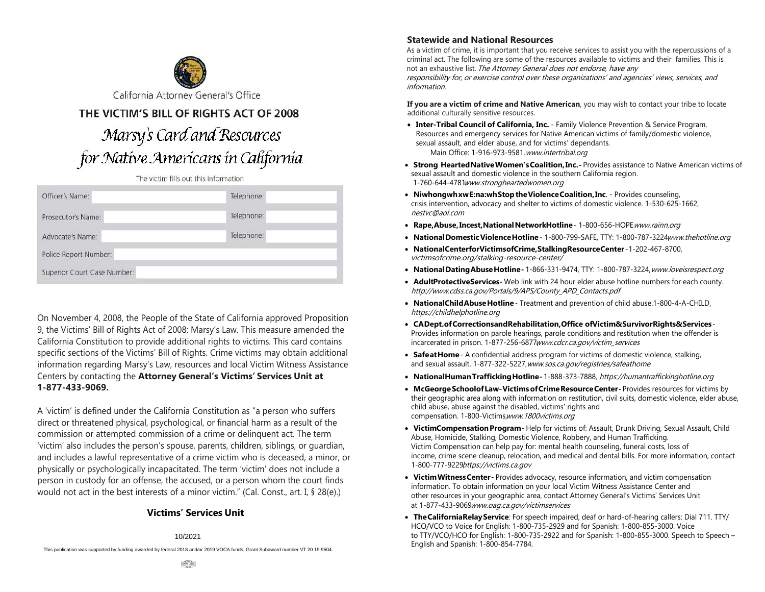

THE VICTIM'S BILL OF RIGHTS ACT OF 2008

# Marsy's Card and Resources for Native Americans in California

The victim fills out this information

| Officer's Name:             | Telephone: |
|-----------------------------|------------|
| Prosecutor's Name:          | Telephone: |
| Advocate's Name:            | Telephone: |
| Police Report Number:       |            |
| Superior Court Case Number: |            |

On November 4, 2008, the People of the State of California approved Proposition 9, the Victims' Bill of Rights Act of 2008: Marsy's Law. This measure amended the California Constitution to provide additional rights to victims. This card contains specific sections of the Victims' Bill of Rights. Crime victims may obtain additional information regarding Marsy's Law, resources and local Victim Witness Assistance Centers by contacting the **Attorney General's Victims' Services Unit at 1-877-433-9069.**

A 'victim' is defined under the California Constitution as "a person who suffers direct or threatened physical, psychological, or financial harm as a result of the commission or attempted commission of a crime or delinquent act. The term 'victim' also includes the person's spouse, parents, children, siblings, or guardian, and includes a lawful representative of a crime victim who is deceased, a minor, or physically or psychologically incapacitated. The term 'victim' does not include a person in custody for an offense, the accused, or a person whom the court finds would not act in the best interests of a minor victim." (Cal. Const., art. I, § 28(e).)

## **Victims' Services Unit**

# 1/2014 10/2021

This publication was supported by funding awarded by federal 2018 and/or 2019 VOCA funds, Grant Subaward number VT 20 19 9504.

#### **Statewide and National Resources**

As a victim of crime, it is important that you receive services to assist you with the repercussions of a criminal act. The following are some of the resources available to victims and their families. This is not an exhaustive list. The Attorney General does not endorse, have any

responsibility for, or exercise control over these organizations' and agencies' views, services, and information.

**If you are a victim of crime and Native American**, you may wish to contact your tribe to locate additional culturally sensitive resources.

- **Inter-Tribal Council of California, Inc.** Family Violence Prevention & Service Program. Resources and emergency services for Native American victims of family/domestic violence, sexual assault, and elder abuse, and for victims' dependants. Main Office: 1-916-973-9581, [w](www.intertribal.org)[ww.intertribal.or](http://www.itccinc.org/)[g](www.intertribal.org)
- **Strong Hearted Native Women's Coalition, Inc. Provides assistance to Native American victims of** sexual assault and domestic violence in the southern California region. 1-760-644-4781,<www.strongheartedwomen.org>
- **Niwhongwh xw E:na:wh Stop the Violence Coalition, Inc**. Provides counseling, crisis intervention[, advocacy and shelter to victims of](http://www.strongheartedwomen.org/) domestic violence. 1-530-625-1662, [nestvc@aol.com](mailto:nestvc@aol.com)
- **[Rape, Abuse, Ince](mailto:nestvc@aol.com)st, National NetworkHotline** 1-800-656-HOPE<www.rainn.org>
- National Domestic Violence Hotline 1-800-799-SAFE, TTY: 1-800-787-3224[www.](http://www.rainn.org/)[th](www.thehotline.org)[e](http://www.rainn.org/)[h](www.thehotline.org)[o](http://www.rainn.org/)[tline.org](www.thehotline.org)
- **National Center for Victims of Crime, Stalking Resource Center** -1-202-467-8700, [victimsofcrime.org/stalking-resource-center](https://victimsofcrime.org/stalking-resource-center)/
- **National Dating Abuse Hotline** 1-866-331-9474, TTY: 1-800-787-3224, <www.loveisrespect.org>
- **Adult Protective Services** Web link with 24 hour elder abuse hotline number[s for each county.](http://www.loveisrespect.org/) [http://www.cdss.ca.gov/Portals/9/APS/County\\_APD\\_Contacts.pdf](http://www.cdss.ca.gov/Portals/9/APS/County_APD_Contacts.pdf)
- **National Child Abuse Hotline** [Treatment and prevention of child a](http://www.cdss.ca.gov/agedblinddisabled/PG2300.htm)buse.1-800-4-A-CHILD, <https://childhelphotline.org>
- **[CA Dept. of Corrections and Rehabi](http://www.childhelp.org/pages/hotline)litation, Office of Victim & Survivor Rights & Services**-Provides information on parole hearings, parole conditions and restitution when the offender is incarcerated in prison. 1-877-256-6877[www.cdcr.ca.gov/victim\\_services](www.cdcr.ca.gov/victim_services)
- **Safe at Home** A confidential address prog[ram for victims of domestic violence](http://www.cdcr.ca.gov/victim_services), stalking, and sexual assault. 1-877-322-5227, [www.sos.ca.gov/registries/safeathome](https://7,www.sos.ca.gov/registries/safeathome)
- **National Human Trafficking Hotline -** 1-888-373-7888, <https://humantraffickinghotline.org>
- **McGeorge Schoolof Law-Victims of Crime Resource Center-Provides resources for victims by** their geographic area along with information on restitution, civil suits, domestic violence, elder abuse, child abuse, abuse against the disabled, victims' rights and compensation. 1-800-Victims, <www.1800victims.org>
- **Victim Compensation Program** Help for victims of: Assault, Drunk Driving, Sexual Assault, Child Abuse, Homicide, Stalking, Domestic Violence, Robbery, and Human Trafficking. Victim Compensation can help pay for: mental health counseling, funeral costs, loss of income, crime scene cleanup, relocation, and medical and dental bills. For more information, contact 1-800-777-9229,<https://victims.ca.gov>
- **Victim Witness Center** [Provides advocacy, resource in](http://www.vcgcb.ca.gov/victims)formation, and victim compensation information. To obtain information on your local Victim Witness Assistance Center and other resources in your geographic area, contact Attorney General's Victims' Services Unit at 1-877-433-9069<www.oag.ca.gov/victimservices>
- **The California Relay Service**[: For speech impaired, d](http://www.ag.ca.gov/victimservices)eaf or hard-of-hearing callers: Dial 711. TTY/ HCO/VCO to Voice for English: 1-800-735-2929 and for Spanish: 1-800-855-3000. Voice to TTY/VCO/HCO for English: 1-800-735-2922 and for Spanish: 1-800-855-3000. Speech to Speech – English and Spanish: 1-800-854-7784.